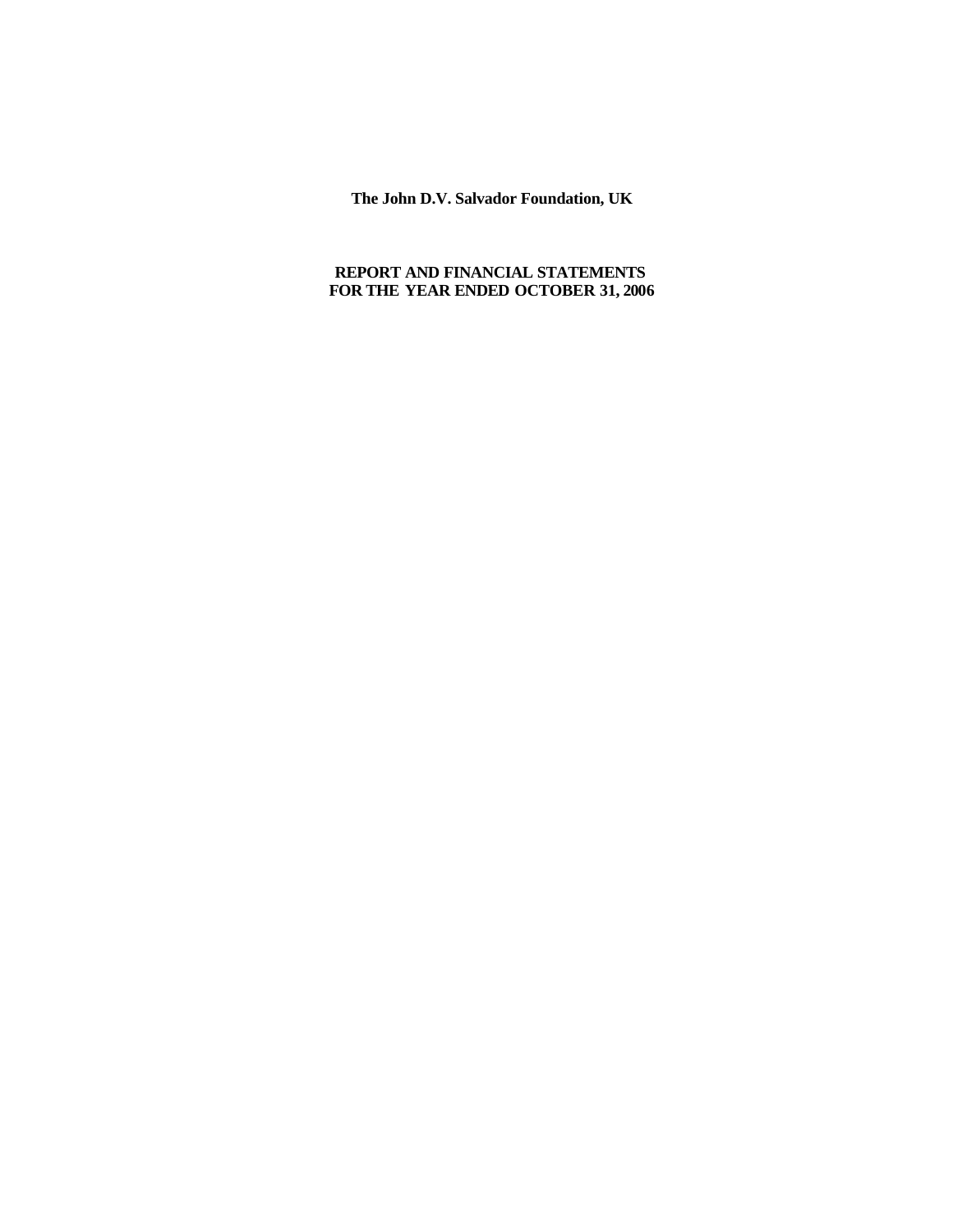**The John D.V. Salvador Foundation, UK**

# **REPORT AND FINANCIAL STATEMENTS FOR THE YEAR ENDED OCTOBER 31, 2006**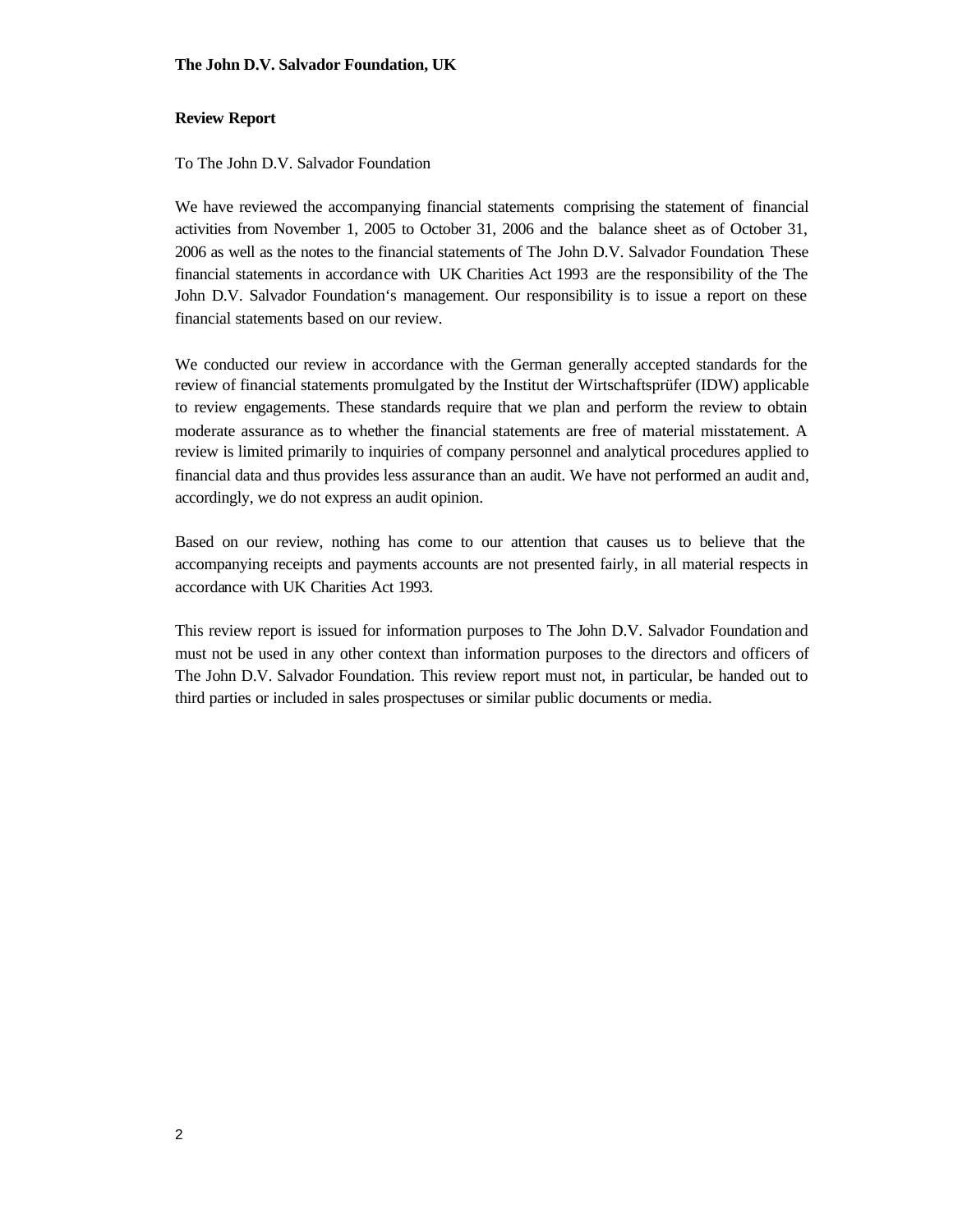#### **The John D.V. Salvador Foundation, UK**

#### **Review Report**

To The John D.V. Salvador Foundation

We have reviewed the accompanying financial statements comprising the statement of financial activities from November 1, 2005 to October 31, 2006 and the balance sheet as of October 31, 2006 as well as the notes to the financial statements of The John D.V. Salvador Foundation. These financial statements in accordance with UK Charities Act 1993 are the responsibility of the The John D.V. Salvador Foundation's management. Our responsibility is to issue a report on these financial statements based on our review.

We conducted our review in accordance with the German generally accepted standards for the review of financial statements promulgated by the Institut der Wirtschaftsprüfer (IDW) applicable to review engagements. These standards require that we plan and perform the review to obtain moderate assurance as to whether the financial statements are free of material misstatement. A review is limited primarily to inquiries of company personnel and analytical procedures applied to financial data and thus provides less assurance than an audit. We have not performed an audit and, accordingly, we do not express an audit opinion.

Based on our review, nothing has come to our attention that causes us to believe that the accompanying receipts and payments accounts are not presented fairly, in all material respects in accordance with UK Charities Act 1993.

This review report is issued for information purposes to The John D.V. Salvador Foundation and must not be used in any other context than information purposes to the directors and officers of The John D.V. Salvador Foundation. This review report must not, in particular, be handed out to third parties or included in sales prospectuses or similar public documents or media.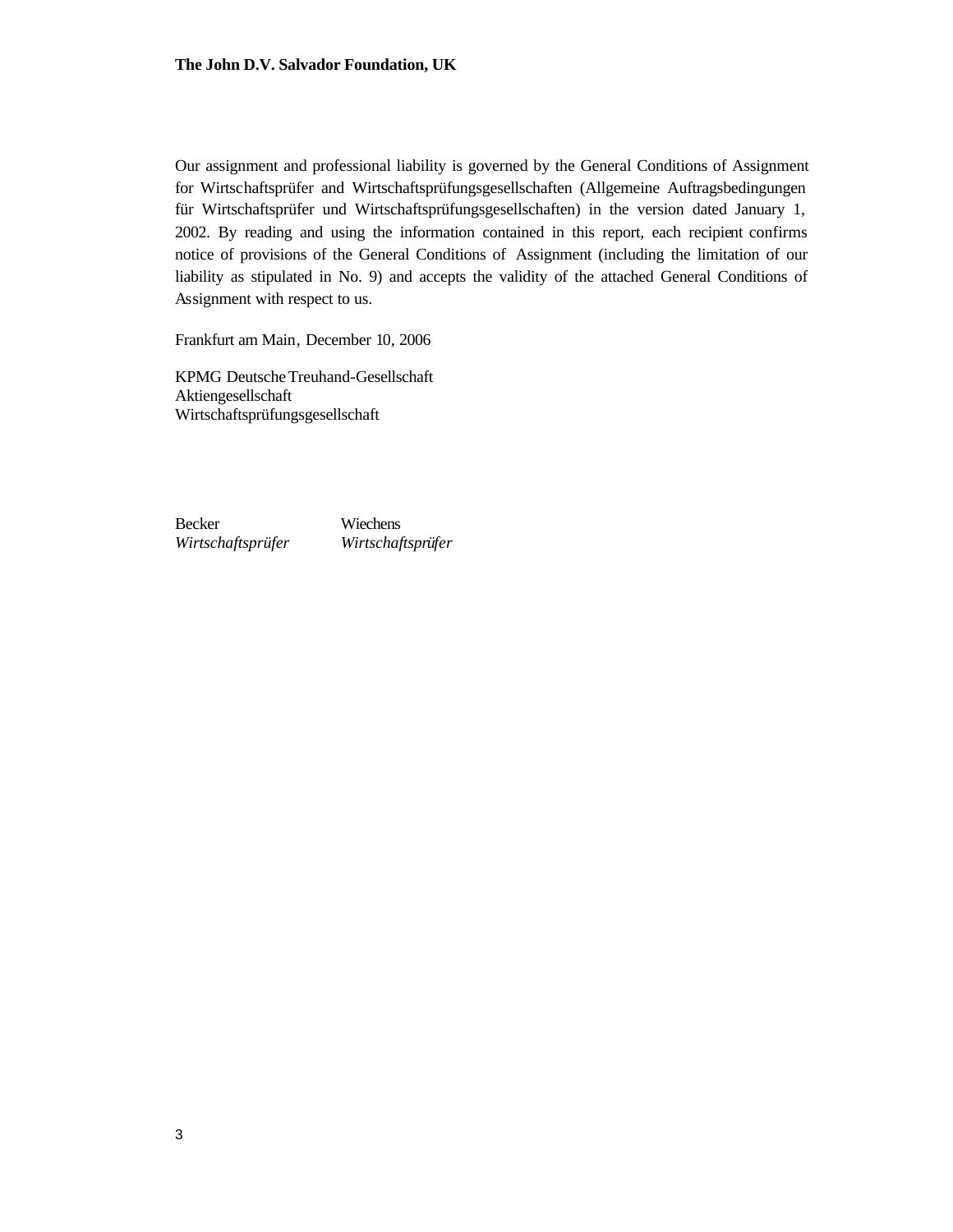Our assignment and professional liability is governed by the General Conditions of Assignment for Wirtschaftsprüfer and Wirtschaftsprüfungsgesellschaften (Allgemeine Auftragsbedingungen für Wirtschaftsprüfer und Wirtschaftsprüfungsgesellschaften) in the version dated January 1, 2002. By reading and using the information contained in this report, each recipient confirms notice of provisions of the General Conditions of Assignment (including the limitation of our liability as stipulated in No. 9) and accepts the validity of the attached General Conditions of Assignment with respect to us.

Frankfurt am Main, December 10, 2006

KPMG DeutscheTreuhand-Gesellschaft Aktiengesellschaft Wirtschaftsprüfungsgesellschaft

Becker *Wirtschaftsprüfer* Wiechens *Wirtschaftsprüfer*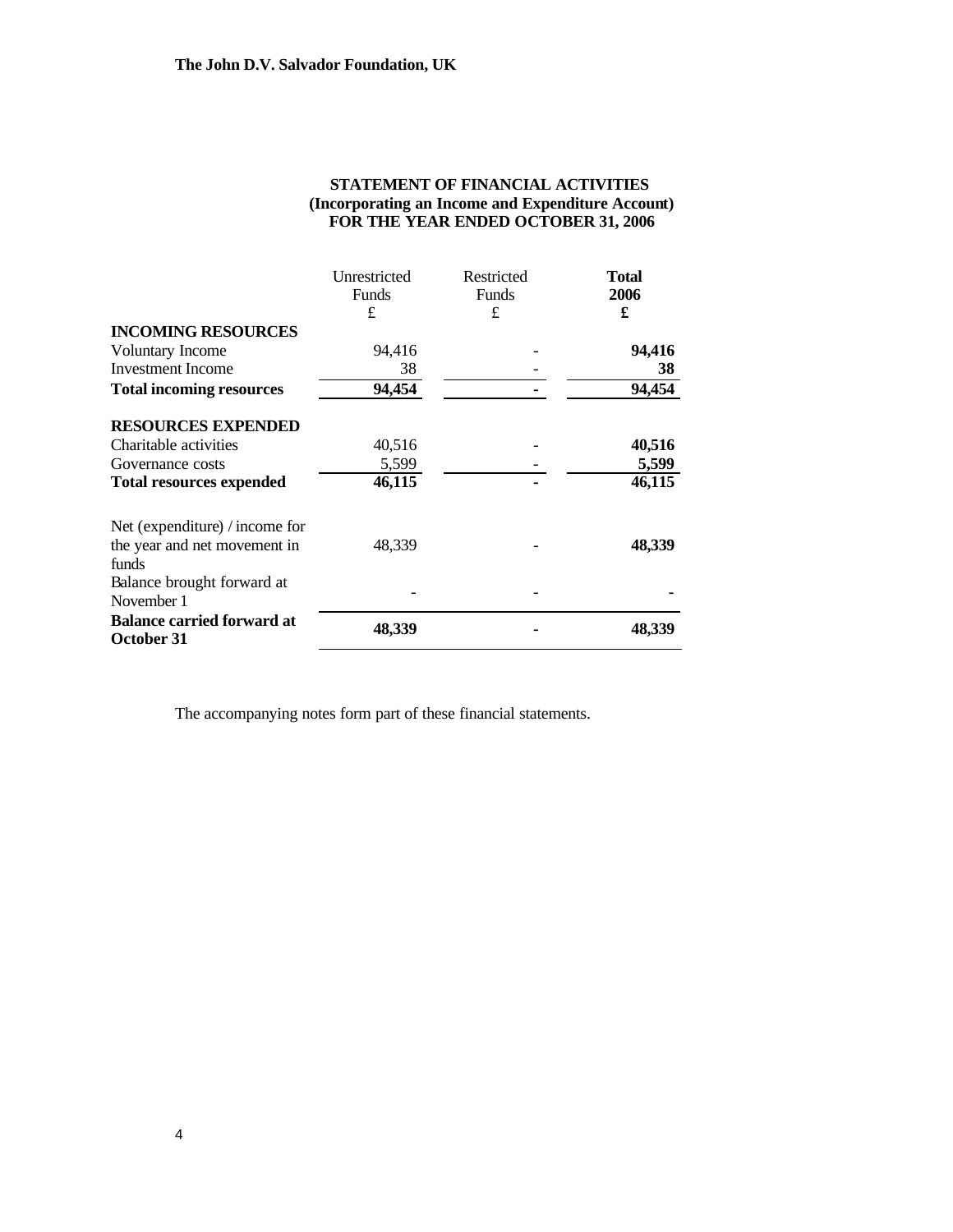| STATEMENT OF FINANCIAL ACTIVITIES                 |
|---------------------------------------------------|
| (Incorporating an Income and Expenditure Account) |
| FOR THE YEAR ENDED OCTOBER 31, 2006               |

|                                                 | Unrestricted<br>Funds | Restricted<br>Funds | <b>Total</b><br>2006 |
|-------------------------------------------------|-----------------------|---------------------|----------------------|
|                                                 | £                     | £                   | £                    |
| <b>INCOMING RESOURCES</b>                       |                       |                     |                      |
| Voluntary Income                                | 94,416                |                     | 94,416               |
| <b>Investment Income</b>                        | 38                    |                     | 38                   |
| <b>Total incoming resources</b>                 | 94,454                |                     | 94,454               |
| <b>RESOURCES EXPENDED</b>                       |                       |                     |                      |
| Charitable activities                           | 40,516                |                     | 40,516               |
| Governance costs                                | 5,599                 |                     | 5,599                |
| <b>Total resources expended</b>                 | 46,115                |                     | 46,115               |
| Net (expenditure) / income for                  |                       |                     |                      |
| the year and net movement in                    | 48,339                |                     | 48,339               |
| funds                                           |                       |                     |                      |
| Balance brought forward at                      |                       |                     |                      |
| November 1                                      |                       |                     |                      |
| <b>Balance carried forward at</b><br>October 31 | 48,339                |                     | 48,339               |

The accompanying notes form part of these financial statements.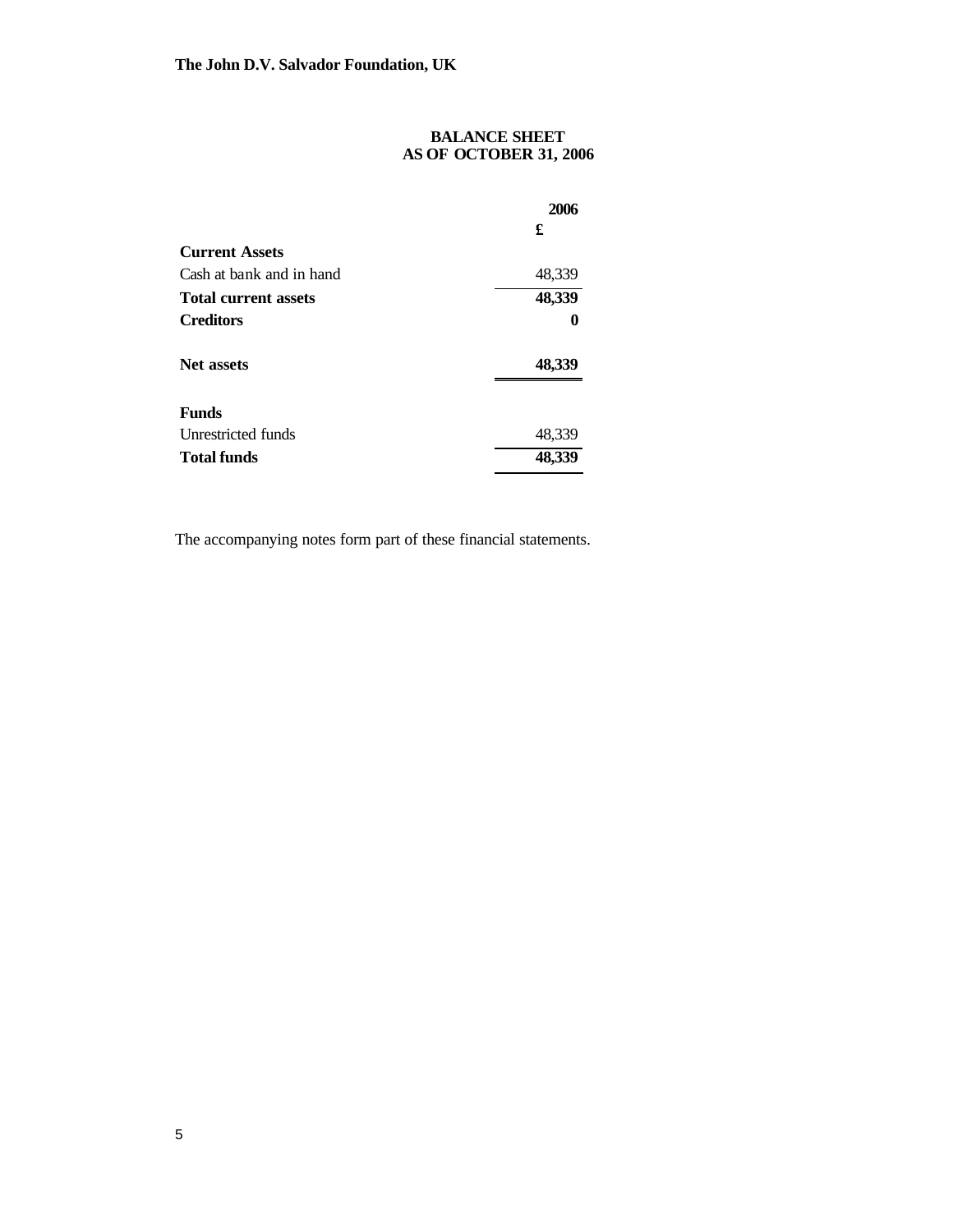### **BALANCE SHEET AS OF OCTOBER 31, 2006**

|                             | 2006   |
|-----------------------------|--------|
|                             | £      |
| <b>Current Assets</b>       |        |
| Cash at bank and in hand    | 48,339 |
| <b>Total current assets</b> | 48,339 |
| <b>Creditors</b>            | 0      |
| <b>Net assets</b>           | 48,339 |
| <b>Funds</b>                |        |
| Unrestricted funds          | 48,339 |
| <b>Total funds</b>          |        |

The accompanying notes form part of these financial statements.